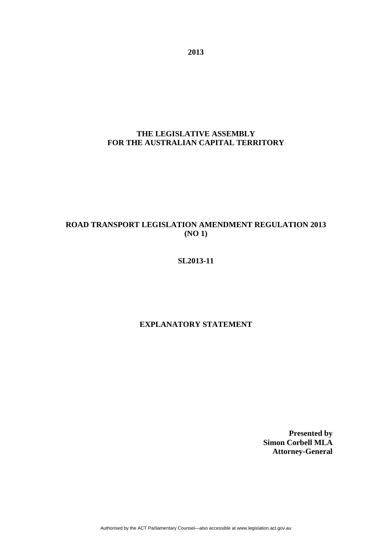**2013** 

## **THE LEGISLATIVE ASSEMBLY FOR THE AUSTRALIAN CAPITAL TERRITORY**

# **ROAD TRANSPORT LEGISLATION AMENDMENT REGULATION 2013 (NO 1)**

### **SL2013-11**

## **EXPLANATORY STATEMENT**

**Presented by Simon Corbell MLA Attorney-General**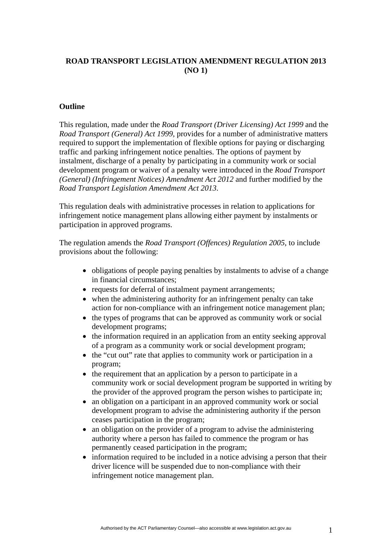## **ROAD TRANSPORT LEGISLATION AMENDMENT REGULATION 2013 (NO 1)**

#### **Outline**

This regulation, made under the *Road Transport (Driver Licensing) Act 1999* and the *Road Transport (General) Act 1999,* provides for a number of administrative matters required to support the implementation of flexible options for paying or discharging traffic and parking infringement notice penalties. The options of payment by instalment, discharge of a penalty by participating in a community work or social development program or waiver of a penalty were introduced in the *Road Transport (General) (Infringement Notices) Amendment Act 2012* and further modified by the *Road Transport Legislation Amendment Act 2013*.

This regulation deals with administrative processes in relation to applications for infringement notice management plans allowing either payment by instalments or participation in approved programs.

The regulation amends the *Road Transport (Offences) Regulation 2005*, to include provisions about the following:

- obligations of people paying penalties by instalments to advise of a change in financial circumstances;
- requests for deferral of instalment payment arrangements;
- when the administering authority for an infringement penalty can take action for non-compliance with an infringement notice management plan;
- the types of programs that can be approved as community work or social development programs;
- the information required in an application from an entity seeking approval of a program as a community work or social development program;
- the "cut out" rate that applies to community work or participation in a program;
- the requirement that an application by a person to participate in a community work or social development program be supported in writing by the provider of the approved program the person wishes to participate in;
- an obligation on a participant in an approved community work or social development program to advise the administering authority if the person ceases participation in the program;
- an obligation on the provider of a program to advise the administering authority where a person has failed to commence the program or has permanently ceased participation in the program;
- information required to be included in a notice advising a person that their driver licence will be suspended due to non-compliance with their infringement notice management plan.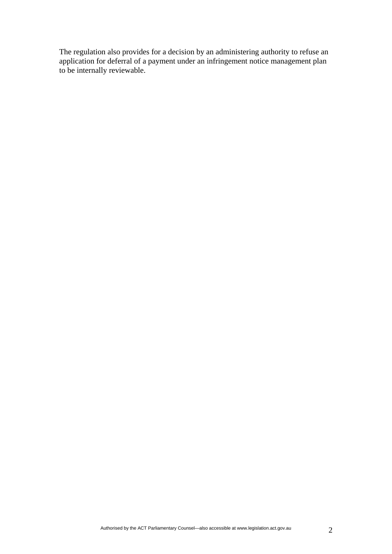The regulation also provides for a decision by an administering authority to refuse an application for deferral of a payment under an infringement notice management plan to be internally reviewable.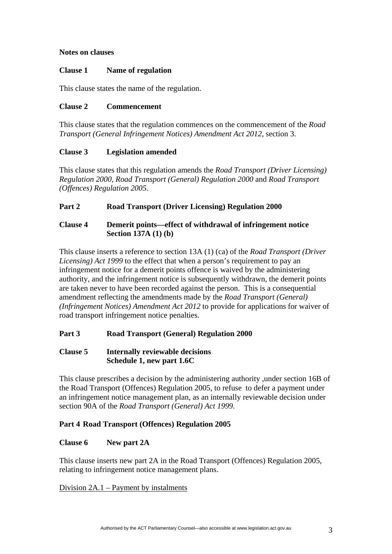### **Notes on clauses**

#### **Clause 1 Name of regulation**

This clause states the name of the regulation.

### **Clause 2 Commencement**

This clause states that the regulation commences on the commencement of the *Road Transport (General Infringement Notices) Amendment Act 2012*, section 3.

## **Clause 3 Legislation amended**

This clause states that this regulation amends the *Road Transport (Driver Licensing) Regulation 2000, Road Transport (General) Regulation 2000* and *Road Transport (Offences) Regulation 2005.* 

## **Part 2 Road Transport (Driver Licensing) Regulation 2000**

## **Clause 4 Demerit points—effect of withdrawal of infringement notice Section 137A (1) (b)**

This clause inserts a reference to section 13A (1) (ca) of the *Road Transport (Driver Licensing) Act 1999* to the effect that when a person's requirement to pay an infringement notice for a demerit points offence is waived by the administering authority, and the infringement notice is subsequently withdrawn, the demerit points are taken never to have been recorded against the person. This is a consequential amendment reflecting the amendments made by the *Road Transport (General) (Infringement Notices) Amendment Act 2012* to provide for applications for waiver of road transport infringement notice penalties.

## **Part 3 Road Transport (General) Regulation 2000**

### **Clause 5 Internally reviewable decisions Schedule 1, new part 1.6C**

This clause prescribes a decision by the administering authority ,under section 16B of the Road Transport (Offences) Regulation 2005, to refuse to defer a payment under an infringement notice management plan, as an internally reviewable decision under section 90A of the *Road Transport (General) Act 1999.* 

## **Part 4 Road Transport (Offences) Regulation 2005**

## **Clause 6 New part 2A**

This clause inserts new part 2A in the Road Transport (Offences) Regulation 2005, relating to infringement notice management plans.

## Division 2A.1 – Payment by instalments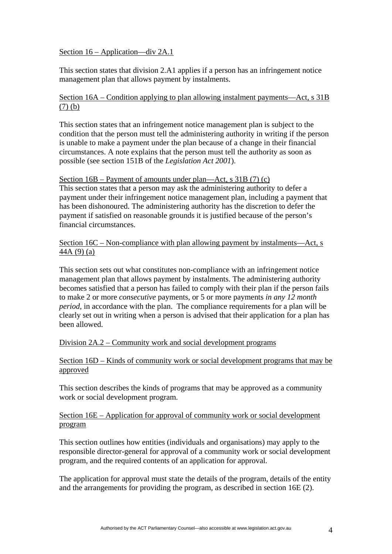#### Section 16 – Application—div 2A.1

This section states that division 2.A1 applies if a person has an infringement notice management plan that allows payment by instalments.

### Section 16A – Condition applying to plan allowing instalment payments—Act, s 31B (7) (b)

This section states that an infringement notice management plan is subject to the condition that the person must tell the administering authority in writing if the person is unable to make a payment under the plan because of a change in their financial circumstances. A note explains that the person must tell the authority as soon as possible (see section 151B of the *Legislation Act 2001*).

#### Section 16B – Payment of amounts under plan—Act, s 31B (7) (c)

This section states that a person may ask the administering authority to defer a payment under their infringement notice management plan, including a payment that has been dishonoured. The administering authority has the discretion to defer the payment if satisfied on reasonable grounds it is justified because of the person's financial circumstances.

Section 16C – Non-compliance with plan allowing payment by instalments—Act, s 44A (9) (a)

This section sets out what constitutes non-compliance with an infringement notice management plan that allows payment by instalments. The administering authority becomes satisfied that a person has failed to comply with their plan if the person fails to make 2 or more *consecutive* payments, or 5 or more payments *in any 12 month period*, in accordance with the plan. The compliance requirements for a plan will be clearly set out in writing when a person is advised that their application for a plan has been allowed.

#### Division 2A.2 – Community work and social development programs

### Section 16D – Kinds of community work or social development programs that may be approved

This section describes the kinds of programs that may be approved as a community work or social development program.

#### Section 16E – Application for approval of community work or social development program

This section outlines how entities (individuals and organisations) may apply to the responsible director-general for approval of a community work or social development program, and the required contents of an application for approval.

The application for approval must state the details of the program, details of the entity and the arrangements for providing the program, as described in section 16E (2).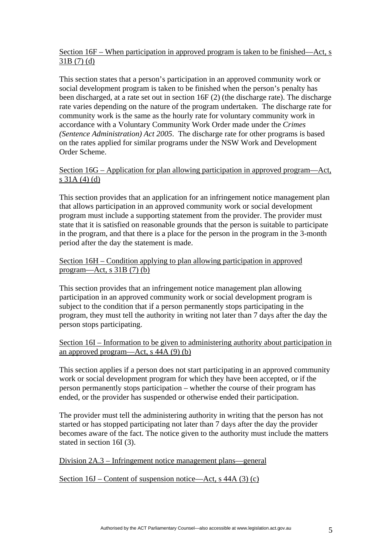## Section 16F – When participation in approved program is taken to be finished—Act, s 31B (7) (d)

This section states that a person's participation in an approved community work or social development program is taken to be finished when the person's penalty has been discharged, at a rate set out in section 16F (2) (the discharge rate). The discharge rate varies depending on the nature of the program undertaken. The discharge rate for community work is the same as the hourly rate for voluntary community work in accordance with a Voluntary Community Work Order made under the *Crimes (Sentence Administration) Act 2005*. The discharge rate for other programs is based on the rates applied for similar programs under the NSW Work and Development Order Scheme.

#### Section 16G – Application for plan allowing participation in approved program—Act, s 31A (4) (d)

This section provides that an application for an infringement notice management plan that allows participation in an approved community work or social development program must include a supporting statement from the provider. The provider must state that it is satisfied on reasonable grounds that the person is suitable to participate in the program, and that there is a place for the person in the program in the 3-month period after the day the statement is made.

### Section 16H – Condition applying to plan allowing participation in approved program—Act, s  $31B(7)(b)$

This section provides that an infringement notice management plan allowing participation in an approved community work or social development program is subject to the condition that if a person permanently stops participating in the program, they must tell the authority in writing not later than 7 days after the day the person stops participating.

## Section 16I – Information to be given to administering authority about participation in an approved program—Act, s 44A (9) (b)

This section applies if a person does not start participating in an approved community work or social development program for which they have been accepted, or if the person permanently stops participation – whether the course of their program has ended, or the provider has suspended or otherwise ended their participation.

The provider must tell the administering authority in writing that the person has not started or has stopped participating not later than 7 days after the day the provider becomes aware of the fact. The notice given to the authority must include the matters stated in section 16I (3).

Division 2A.3 – Infringement notice management plans—general

Section 16J – Content of suspension notice—Act, s 44A (3) (c)